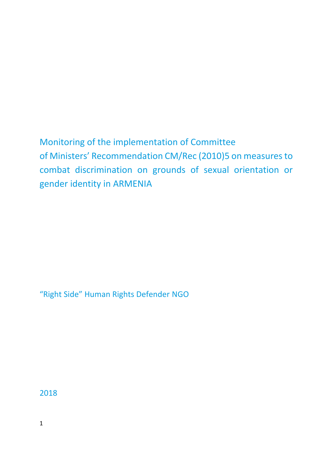Monitoring of the implementation of Committee of Ministers' Recommendation CM/Rec (2010)5 on measures to combat discrimination on grounds of sexual orientation or gender identity in ARMENIA

"Right Side" Human Rights Defender NGO

2018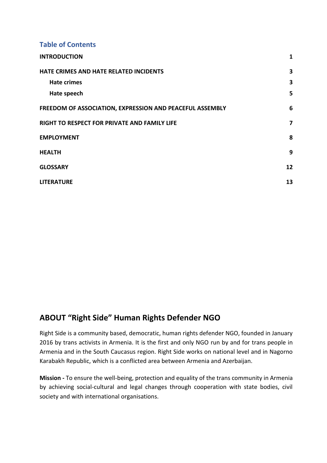**Table of Contents**

| <b>INTRODUCTION</b>                                      | $\mathbf{1}$            |
|----------------------------------------------------------|-------------------------|
| HATE CRIMES AND HATE RELATED INCIDENTS                   | 3                       |
| <b>Hate crimes</b>                                       | 3                       |
| Hate speech                                              | 5                       |
| FREEDOM OF ASSOCIATION, EXPRESSION AND PEACEFUL ASSEMBLY | 6                       |
| RIGHT TO RESPECT FOR PRIVATE AND FAMILY LIFE             | $\overline{\mathbf{z}}$ |
| <b>EMPLOYMENT</b>                                        | 8                       |
| <b>HEALTH</b>                                            | 9                       |
| <b>GLOSSARY</b>                                          | 12                      |
| <b>LITERATURE</b>                                        | 13                      |

# **ABOUT "Right Side" Human Rights Defender NGO**

Right Side is a community based, democratic, human rights defender NGO, founded in January 2016 by trans activists in Armenia. It is the first and only NGO run by and for trans people in Armenia and in the South Caucasus region. Right Side works on national level and in Nagorno Karabakh Republic, which is a conflicted area between Armenia and Azerbaijan.

<span id="page-1-0"></span>**Mission -** To ensure the well-being, protection and equality of the trans community in Armenia by achieving social-cultural and legal changes through cooperation with state bodies, civil society and with international organisations.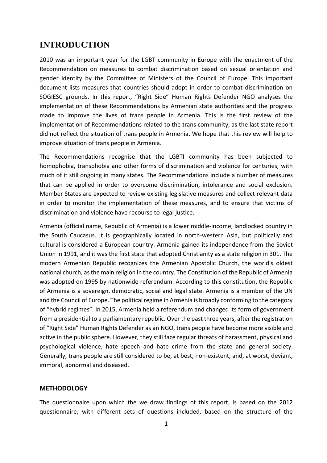### **INTRODUCTION**

2010 was an important year for the LGBT community in Europe with the enactment of the Recommendation on measures to combat discrimination based on sexual orientation and gender identity by the Committee of Ministers of the Council of Europe. This important document lists measures that countries should adopt in order to combat discrimination on SOGIESC grounds. In this report, "Right Side" Human Rights Defender NGO analyses the implementation of these Recommendations by Armenian state authorities and the progress made to improve the lives of trans people in Armenia. This is the first review of the implementation of Recommendations related to the trans community, as the last state report did not reflect the situation of trans people in Armenia. We hope that this review will help to improve situation of trans people in Armenia.

The Recommendations recognise that the LGBTI community has been subjected to homophobia, transphobia and other forms of discrimination and violence for centuries, with much of it still ongoing in many states. The Recommendations include a number of measures that can be applied in order to overcome discrimination, intolerance and social exclusion. Member States are expected to review existing legislative measures and collect relevant data in order to monitor the implementation of these measures, and to ensure that victims of discrimination and violence have recourse to legal justice.

Armenia (official name, Republic of Armenia) is a lower middle-income, landlocked country in the South Caucasus. It is geographically located in north-western Asia, but politically and cultural is considered a European country. Armenia gained its independence from the Soviet Union in 1991, and it was the first state that adopted Christianity as a state religion in 301. The modern Armenian Republic recognizes the Armenian Apostolic Church, the world's oldest national church, as the main religion in the country. The Constitution of the Republic of Armenia was adopted on 1995 by nationwide referendum. According to this constitution, the Republic of Armenia is a sovereign, democratic, social and legal state. Armenia is a member of the UN and the Council of Europe. The political regime in Armenia is broadly conforming to the category of "hybrid regimes". In 2015, Armenia held a referendum and changed its form of government from a presidential to a parliamentary republic. Over the past three years, after the registration of "Right Side" Human Rights Defender as an NGO, trans people have become more visible and active in the public sphere. However, they still face regular threats of harassment, physical and psychological violence, hate speech and hate crime from the state and general society. Generally, trans people are still considered to be, at best, non-existent, and, at worst, deviant, immoral, abnormal and diseased.

#### **METHODOLOGY**

The questionnaire upon which the we draw findings of this report, is based on the 2012 questionnaire, with different sets of questions included, based on the structure of the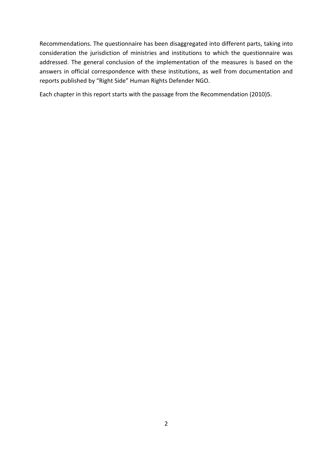Recommendations. The questionnaire has been disaggregated into different parts, taking into consideration the jurisdiction of ministries and institutions to which the questionnaire was addressed. The general conclusion of the implementation of the measures is based on the answers in official correspondence with these institutions, as well from documentation and reports published by "Right Side" Human Rights Defender NGO.

Each chapter in this report starts with the passage from the Recommendation (2010)5.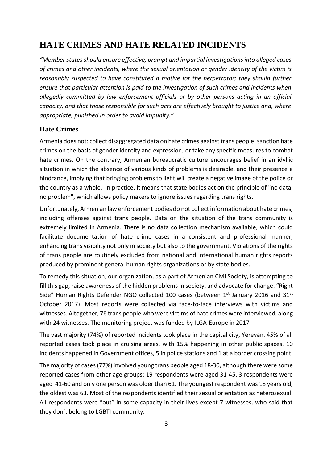# <span id="page-4-0"></span>**HATE CRIMES AND HATE RELATED INCIDENTS**

*"Member states should ensure effective, prompt and impartial investigations into alleged cases of crimes and other incidents, where the sexual orientation or gender identity of the victim is reasonably suspected to have constituted a motive for the perpetrator; they should further ensure that particular attention is paid to the investigation of such crimes and incidents when allegedly committed by law enforcement officials or by other persons acting in an official capacity, and that those responsible for such acts are effectively brought to justice and, where appropriate, punished in order to avoid impunity."*

#### <span id="page-4-1"></span>**Hate Crimes**

Armenia does not: collect disaggregated data on hate crimes against trans people; sanction hate crimes on the basis of gender identity and expression; or take any specific measures to combat hate crimes. On the contrary, Armenian bureaucratic culture encourages belief in an idyllic situation in which the absence of various kinds of problems is desirable, and their presence a hindrance, implying that bringing problems to light will create a negative image of the police or the country as a whole. In practice, it means that state bodies act on the principle of "no data, no problem", which allows policy makers to ignore issues regarding trans rights.

Unfortunately, Armenian law enforcement bodies do not collect information about hate crimes, including offenses against trans people. Data on the situation of the trans community is extremely limited in Armenia. There is no data collection mechanism available, which could facilitate documentation of hate crime cases in a consistent and professional manner, enhancing trans visibility not only in society but also to the government. Violations of the rights of trans people are routinely excluded from national and international human rights reports produced by prominent general human rights organizations or by state bodies.

To remedy this situation, our organization, as a part of Armenian Civil Society, is attempting to fill this gap, raise awareness of the hidden problems in society, and advocate for change. "Right Side" Human Rights Defender NGO collected 100 cases (between  $1^\mathrm{st}$  January 2016 and 31st October 2017). Most reports were collected via face-to-face interviews with victims and witnesses. Altogether, 76 trans people who were victims of hate crimes were interviewed, along with 24 witnesses. The monitoring project was funded by ILGA-Europe in 2017.

The vast majority (74%) of reported incidents took place in the capital city, Yerevan. 45% of all reported cases took place in cruising areas, with 15% happening in other public spaces. 10 incidents happened in Government offices, 5 in police stations and 1 at a border crossing point.

The majority of cases (77%) involved young trans people aged 18-30, although there were some reported cases from other age groups: 19 respondents were aged 31-45, 3 respondents were aged 41-60 and only one person was older than 61. The youngest respondent was 18 years old, the oldest was 63. Most of the respondents identified their sexual orientation as heterosexual. All respondents were "out" in some capacity in their lives except 7 witnesses, who said that they don't belong to LGBTI community.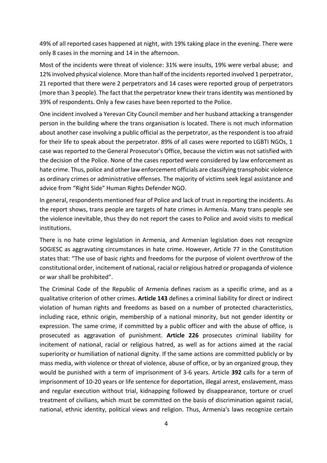49% of all reported cases happened at night, with 19% taking place in the evening. There were only 8 cases in the morning and 14 in the afternoon.

Most of the incidents were threat of violence: 31% were insults, 19% were verbal abuse; and 12% involved physical violence. More than half of the incidents reported involved 1 perpetrator, 21 reported that there were 2 perpetrators and 14 cases were reported group of perpetrators (more than 3 people). The fact that the perpetrator knew their trans identity was mentioned by 39% of respondents. Only a few cases have been reported to the Police.

One incident involved a Yerevan City Council member and her husband attacking a transgender person in the building where the trans organisation is located. There is not much information about another case involving a public official as the perpetrator, as the respondent is too afraid for their life to speak about the perpetrator. 89% of all cases were reported to LGBTI NGOs, 1 case was reported to the General Prosecutor's Office, because the victim was not satisfied with the decision of the Police. None of the cases reported were considered by law enforcement as hate crime. Thus, police and other law enforcement officials are classifying transphobic violence as ordinary crimes or administrative offenses. The majority of victims seek legal assistance and advice from "Right Side" Human Rights Defender NGO.

In general, respondents mentioned fear of Police and lack of trust in reporting the incidents. As the report shows, trans people are targets of hate crimes in Armenia. Many trans people see the violence inevitable, thus they do not report the cases to Police and avoid visits to medical institutions.

There is no hate crime legislation in Armenia, and Armenian legislation does not recognize SOGIESC as aggravating circumstances in hate crime. However, Article 77 in the Constitution states that: "The use of basic rights and freedoms for the purpose of violent overthrow of the constitutional order, incitement of national, racial or religious hatred or propaganda of violence or war shall be prohibited".

The Criminal Code of the Republic of Armenia defines racism as a specific crime, and as a qualitative criterion of other crimes. **Article 143** defines a criminal liability for direct or indirect violation of human rights and freedoms as based on a number of protected characteristics, including race, ethnic origin, membership of a national minority, but not gender identity or expression. The same crime, if committed by a public officer and with the abuse of office, is prosecuted as aggravation of punishment. **Article 226** prosecutes criminal liability for incitement of national, racial or religious hatred, as well as for actions aimed at the racial superiority or humiliation of national dignity. If the same actions are committed publicly or by mass media, with violence or threat of violence, abuse of office, or by an organized group, they would be punished with a term of imprisonment of 3-6 years. Article **392** calls for a term of imprisonment of 10-20 years or life sentence for deportation, illegal arrest, enslavement, mass and regular execution without trial, kidnapping followed by disappearance, torture or cruel treatment of civilians, which must be committed on the basis of discrimination against racial, national, ethnic identity, political views and religion. Thus, Armenia's laws recognize certain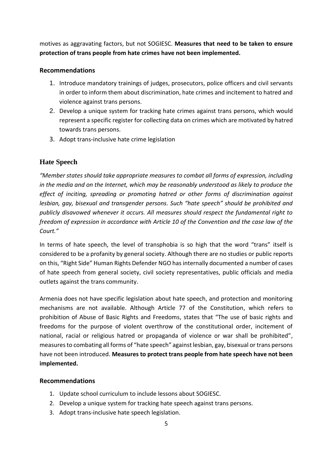motives as aggravating factors, but not SOGIESC. **Measures that need to be taken to ensure protection of trans people from hate crimes have not been implemented.**

#### **Recommendations**

- 1. Introduce mandatory trainings of judges, prosecutors, police officers and civil servants in order to inform them about discrimination, hate crimes and incitement to hatred and violence against trans persons.
- 2. Develop a unique system for tracking hate crimes against trans persons, which would represent a specific register for collecting data on crimes which are motivated by hatred towards trans persons.
- <span id="page-6-0"></span>3. Adopt trans-inclusive hate crime legislation

### **Hate Speech**

*"Member states should take appropriate measures to combat all forms of expression, including in the media and on the Internet, which may be reasonably understood as likely to produce the effect of inciting, spreading or promoting hatred or other forms of discrimination against lesbian, gay, bisexual and transgender persons. Such "hate speech" should be prohibited and publicly disavowed whenever it occurs. All measures should respect the fundamental right to freedom of expression in accordance with Article 10 of the Convention and the case law of the Court."*

In terms of hate speech, the level of transphobia is so high that the word "trans" itself is considered to be a profanity by general society. Although there are no studies or public reports on this, "Right Side" Human Rights Defender NGO has internally documented a number of cases of hate speech from general society, civil society representatives, public officials and media outlets against the trans community.

Armenia does not have specific legislation about hate speech, and protection and monitoring mechanisms are not available. Although Article 77 of the Constitution, which refers to prohibition of Abuse of Basic Rights and Freedoms, states that "The use of basic rights and freedoms for the purpose of violent overthrow of the constitutional order, incitement of national, racial or religious hatred or propaganda of violence or war shall be prohibited", measures to combating all forms of "hate speech" against lesbian, gay, bisexual or trans persons have not been introduced. **Measures to protect trans people from hate speech have not been implemented.** 

#### **Recommendations**

- 1. Update school curriculum to include lessons about SOGIESC.
- 2. Develop a unique system for tracking hate speech against trans persons.
- 3. Adopt trans-inclusive hate speech legislation.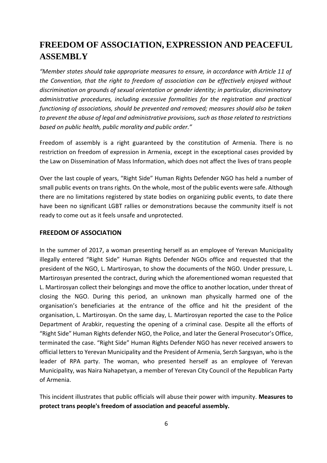# <span id="page-7-0"></span>**FREEDOM OF ASSOCIATION, EXPRESSION AND PEACEFUL ASSEMBLY**

*"Member states should take appropriate measures to ensure, in accordance with Article 11 of the Convention, that the right to freedom of association can be effectively enjoyed without discrimination on grounds of sexual orientation or gender identity; in particular, discriminatory administrative procedures, including excessive formalities for the registration and practical functioning of associations, should be prevented and removed; measures should also be taken to prevent the abuse of legal and administrative provisions, such as those related to restrictions based on public health, public morality and public order."*

Freedom of assembly is a right guaranteed by the constitution of Armenia. There is no restriction on freedom of expression in Armenia, except in the exceptional cases provided by the Law on Dissemination of Mass Information, which does not affect the lives of trans people

Over the last couple of years, "Right Side" Human Rights Defender NGO has held a number of small public events on trans rights. On the whole, most of the public events were safe. Although there are no limitations registered by state bodies on organizing public events, to date there have been no significant LGBT rallies or demonstrations because the community itself is not ready to come out as it feels unsafe and unprotected.

#### **FREEDOM OF ASSOCIATION**

In the summer of 2017, a woman presenting herself as an employee of Yerevan Municipality illegally entered "Right Side" Human Rights Defender NGOs office and requested that the president of the NGO, L. Martirosyan, to show the documents of the NGO. Under pressure, L. Martirosyan presented the contract, during which the aforementioned woman requested that L. Martirosyan collect their belongings and move the office to another location, under threat of closing the NGO. During this period, an unknown man physically harmed one of the organisation's beneficiaries at the entrance of the office and hit the president of the organisation, L. Martirosyan. On the same day, L. Martirosyan reported the case to the Police Department of Arabkir, requesting the opening of a criminal case. Despite all the efforts of "Right Side" Human Rights defender NGO, the Police, and later the General Prosecutor's Office, terminated the case. "Right Side" Human Rights Defender NGO has never received answers to official letters to Yerevan Municipality and the President of Armenia, Serzh Sargsyan, who is the leader of RPA party. The woman, who presented herself as an employee of Yerevan Municipality, was Naira Nahapetyan, a member of Yerevan City Council of the Republican Party of Armenia.

This incident illustrates that public officials will abuse their power with impunity. **Measures to protect trans people's freedom of association and peaceful assembly.**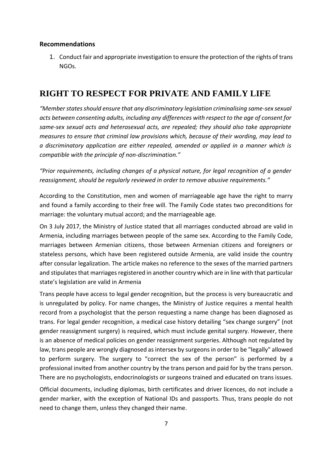#### **Recommendations**

1. Conduct fair and appropriate investigation to ensure the protection of the rights of trans NGOs.

# <span id="page-8-0"></span>**RIGHT TO RESPECT FOR PRIVATE AND FAMILY LIFE**

*"Member states should ensure that any discriminatory legislation criminalising same-sex sexual acts between consenting adults, including any differences with respect to the age of consent for same-sex sexual acts and heterosexual acts, are repealed; they should also take appropriate measures to ensure that criminal law provisions which, because of their wording, may lead to a discriminatory application are either repealed, amended or applied in a manner which is compatible with the principle of non-discrimination."*

*"Prior requirements, including changes of a physical nature, for legal recognition of a gender reassignment, should be regularly reviewed in order to remove abusive requirements."*

According to the Constitution, men and women of marriageable age have the right to marry and found a family according to their free will. The Family Code states two preconditions for marriage: the voluntary mutual accord; and the marriageable age.

On 3 July 2017, the Ministry of Justice stated that all marriages conducted abroad are valid in Armenia, including marriages between people of the same sex. According to the Family Code, marriages between Armenian citizens, those between Armenian citizens and foreigners or stateless persons, which have been registered outside Armenia, are valid inside the country after consular legalization. The article makes no reference to the sexes of the married partners and stipulates that marriages registered in another country which are in line with that particular state's legislation are valid in Armenia

Trans people have access to legal gender recognition, but the process is very bureaucratic and is unregulated by policy. For name changes, the Ministry of Justice requires a mental health record from a psychologist that the person requesting a name change has been diagnosed as trans. For legal gender recognition, a medical case history detailing "sex change surgery" (not gender reassignment surgery) is required, which must include genital surgery. However, there is an absence of medical policies on gender reassignment surgeries. Although not regulated by law, trans people are wrongly diagnosed as intersex by surgeons in order to be "legally" allowed to perform surgery. The surgery to "correct the sex of the person" is performed by a professional invited from another country by the trans person and paid for by the trans person. There are no psychologists, endocrinologists or surgeons trained and educated on trans issues.

Official documents, including diplomas, birth certificates and driver licences, do not include a gender marker, with the exception of National IDs and passports. Thus, trans people do not need to change them, unless they changed their name.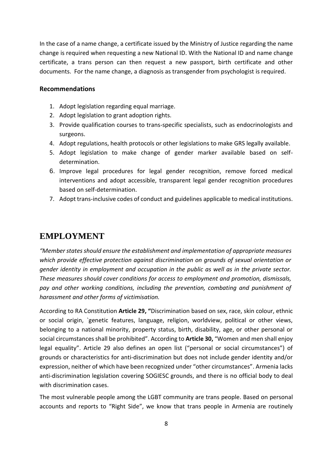In the case of a name change, a certificate issued by the Ministry of Justice regarding the name change is required when requesting a new National ID. With the National ID and name change certificate, a trans person can then request a new passport, birth certificate and other documents. For the name change, a diagnosis as transgender from psychologist is required.

#### **Recommendations**

- 1. Adopt legislation regarding equal marriage.
- 2. Adopt legislation to grant adoption rights.
- 3. Provide qualification courses to trans-specific specialists, such as endocrinologists and surgeons.
- 4. Adopt regulations, health protocols or other legislations to make GRS legally available.
- 5. Adopt legislation to make change of gender marker available based on selfdetermination.
- 6. Improve legal procedures for legal gender recognition, remove forced medical interventions and adopt accessible, transparent legal gender recognition procedures based on self-determination.
- 7. Adopt trans-inclusive codes of conduct and guidelines applicable to medical institutions.

### <span id="page-9-0"></span>**EMPLOYMENT**

*"Member states should ensure the establishment and implementation of appropriate measures which provide effective protection against discrimination on grounds of sexual orientation or gender identity in employment and occupation in the public as well as in the private sector. These measures should cover conditions for access to employment and promotion, dismissals, pay and other working conditions, including the prevention, combating and punishment of harassment and other forms of victimisation.*

According to RA Constitution **Article 29, "**Discrimination based on sex, race, skin colour, ethnic or social origin, `genetic features, language, religion, worldview, political or other views, belonging to a national minority, property status, birth, disability, age, or other personal or social circumstances shall be prohibited". According to **Article 30,** "Women and men shall enjoy legal equality". Article 29 also defines an open list ("personal or social circumstances") of grounds or characteristics for anti-discrimination but does not include gender identity and/or expression, neither of which have been recognized under "other circumstances". Armenia lacks anti-discrimination legislation covering SOGIESC grounds, and there is no official body to deal with discrimination cases.

The most vulnerable people among the LGBT community are trans people. Based on personal accounts and reports to "Right Side", we know that trans people in Armenia are routinely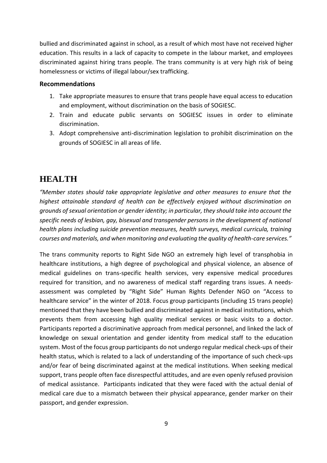bullied and discriminated against in school, as a result of which most have not received higher education. This results in a lack of capacity to compete in the labour market, and employees discriminated against hiring trans people. The trans community is at very high risk of being homelessness or victims of illegal labour/sex trafficking.

#### **Recommendations**

- 1. Take appropriate measures to ensure that trans people have equal access to education and employment, without discrimination on the basis of SOGIESC.
- 2. Train and educate public servants on SOGIESC issues in order to eliminate discrimination.
- 3. Adopt comprehensive anti-discrimination legislation to prohibit discrimination on the grounds of SOGIESC in all areas of life.

### <span id="page-10-0"></span>**HEALTH**

*"Member states should take appropriate legislative and other measures to ensure that the highest attainable standard of health can be effectively enjoyed without discrimination on grounds of sexual orientation or gender identity; in particular, they should take into account the specific needs of lesbian, gay, bisexual and transgender persons in the development of national health plans including suicide prevention measures, health surveys, medical curricula, training courses and materials, and when monitoring and evaluating the quality of health-care services."*

The trans community reports to Right Side NGO an extremely high level of transphobia in healthcare institutions, a high degree of psychological and physical violence, an absence of medical guidelines on trans-specific health services, very expensive medical procedures required for transition, and no awareness of medical staff regarding trans issues. A needsassessment was completed by "Right Side" Human Rights Defender NGO on "Access to healthcare service" in the winter of 2018. Focus group participants (including 15 trans people) mentioned that they have been bullied and discriminated against in medical institutions, which prevents them from accessing high quality medical services or basic visits to a doctor. Participants reported a discriminative approach from medical personnel, and linked the lack of knowledge on sexual orientation and gender identity from medical staff to the education system. Most of the focus group participants do not undergo regular medical check-ups of their health status, which is related to a lack of understanding of the importance of such check-ups and/or fear of being discriminated against at the medical institutions. When seeking medical support, trans people often face disrespectful attitudes, and are even openly refused provision of medical assistance. Participants indicated that they were faced with the actual denial of medical care due to a mismatch between their physical appearance, gender marker on their passport, and gender expression.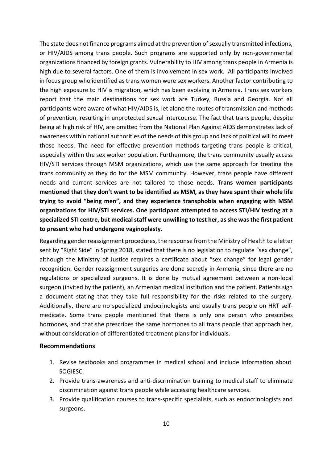The state does not finance programs aimed at the prevention of sexually transmitted infections, or HIV/AIDS among trans people. Such programs are supported only by non-governmental organizations financed by foreign grants. Vulnerability to HIV among trans people in Armenia is high due to several factors. One of them is involvement in sex work. All participants involved in focus group who identified as trans women were sex workers. Another factor contributing to the high exposure to HIV is migration, which has been evolving in Armenia. Trans sex workers report that the main destinations for sex work are Turkey, Russia and Georgia. Not all participants were aware of what HIV/AIDS is, let alone the routes of transmission and methods of prevention, resulting in unprotected sexual intercourse. The fact that trans people, despite being at high risk of HIV, are omitted from the National Plan Against AIDS demonstrates lack of awareness within national authorities of the needs of this group and lack of political will to meet those needs. The need for effective prevention methods targeting trans people is critical, especially within the sex worker population. Furthermore, the trans community usually access HIV/STI services through MSM organizations, which use the same approach for treating the trans community as they do for the MSM community. However, trans people have different needs and current services are not tailored to those needs. **Trans women participants mentioned that they don't want to be identified as MSM, as they have spent their whole life trying to avoid "being men", and they experience transphobia when engaging with MSM organizations for HIV/STI services. One participant attempted to access STI/HIV testing at a specialized STI centre, but medical staff were unwilling to test her, as she was the first patient to present who had undergone vaginoplasty.**

Regarding gender reassignment procedures, the response from the Ministry of Health to a letter sent by "Right Side" in Spring 2018, stated that there is no legislation to regulate "sex change", although the Ministry of Justice requires a certificate about "sex change" for legal gender recognition. Gender reassignment surgeries are done secretly in Armenia, since there are no regulations or specialized surgeons. It is done by mutual agreement between a non-local surgeon (invited by the patient), an Armenian medical institution and the patient. Patients sign a document stating that they take full responsibility for the risks related to the surgery. Additionally, there are no specialized endocrinologists and usually trans people on HRT selfmedicate. Some trans people mentioned that there is only one person who prescribes hormones, and that she prescribes the same hormones to all trans people that approach her, without consideration of differentiated treatment plans for individuals.

#### **Recommendations**

- 1. Revise textbooks and programmes in medical school and include information about SOGIESC.
- 2. Provide trans-awareness and anti-discrimination training to medical staff to eliminate discrimination against trans people while accessing healthcare services.
- 3. Provide qualification courses to trans-specific specialists, such as endocrinologists and surgeons.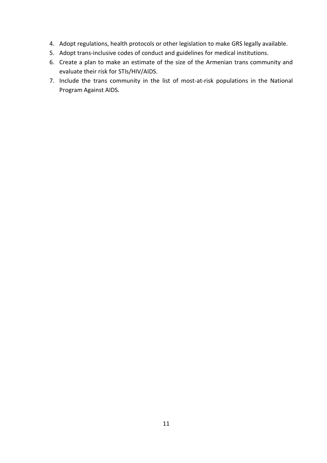- 4. Adopt regulations, health protocols or other legislation to make GRS legally available.
- 5. Adopt trans-inclusive codes of conduct and guidelines for medical institutions.
- 6. Create a plan to make an estimate of the size of the Armenian trans community and evaluate their risk for STIs/HIV/AIDS.
- 7. Include the trans community in the list of most-at-risk populations in the National Program Against AIDS.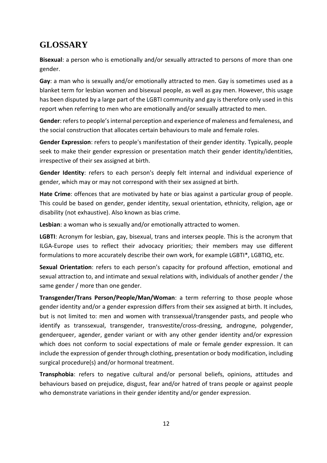# <span id="page-13-0"></span>**GLOSSARY**

**Bisexual**: a person who is emotionally and/or sexually attracted to persons of more than one gender.

**Gay**: a man who is sexually and/or emotionally attracted to men. Gay is sometimes used as a blanket term for lesbian women and bisexual people, as well as gay men. However, this usage has been disputed by a large part of the LGBTI community and gay is therefore only used in this report when referring to men who are emotionally and/or sexually attracted to men.

**Gender**: refers to people's internal perception and experience of maleness and femaleness, and the social construction that allocates certain behaviours to male and female roles.

**Gender Expression**: refers to people's manifestation of their gender identity. Typically, people seek to make their gender expression or presentation match their gender identity/identities, irrespective of their sex assigned at birth.

**Gender Identity**: refers to each person's deeply felt internal and individual experience of gender, which may or may not correspond with their sex assigned at birth.

**Hate Crime**: offences that are motivated by hate or bias against a particular group of people. This could be based on gender, gender identity, sexual orientation, ethnicity, religion, age or disability (not exhaustive). Also known as bias crime.

**Lesbian**: a woman who is sexually and/or emotionally attracted to women.

**LGBTI**: Acronym for lesbian, gay, bisexual, trans and intersex people. This is the acronym that ILGA-Europe uses to reflect their advocacy priorities; their members may use different formulations to more accurately describe their own work, for example LGBTI\*, LGBTIQ, etc.

**Sexual Orientation**: refers to each person's capacity for profound affection, emotional and sexual attraction to, and intimate and sexual relations with, individuals of another gender / the same gender / more than one gender.

**Transgender/Trans Person/People/Man/Woman**: a term referring to those people whose gender identity and/or a gender expression differs from their sex assigned at birth. It includes, but is not limited to: men and women with transsexual/transgender pasts, and people who identify as transsexual, transgender, transvestite/cross-dressing, androgyne, polygender, genderqueer, agender, gender variant or with any other gender identity and/or expression which does not conform to social expectations of male or female gender expression. It can include the expression of gender through clothing, presentation or body modification, including surgical procedure(s) and/or hormonal treatment.

**Transphobia**: refers to negative cultural and/or personal beliefs, opinions, attitudes and behaviours based on prejudice, disgust, fear and/or hatred of trans people or against people who demonstrate variations in their gender identity and/or gender expression.